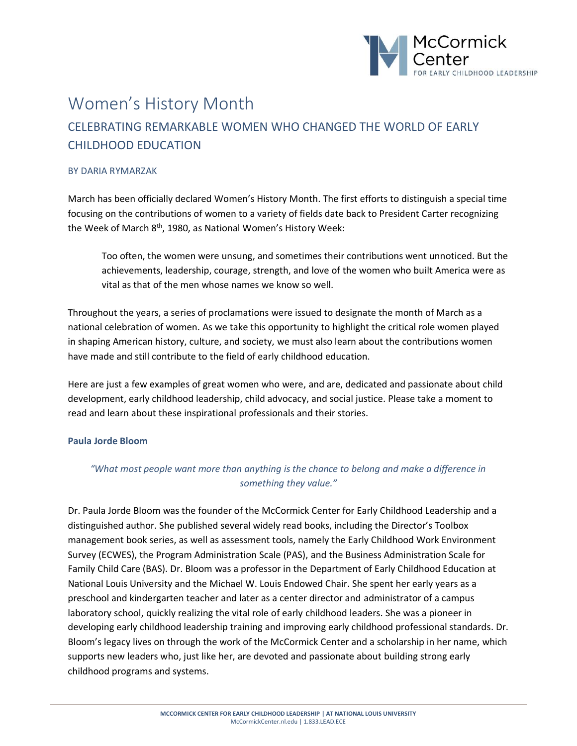

# Women's History Month CELEBRATING REMARKABLE WOMEN WHO CHANGED THE WORLD OF EARLY CHILDHOOD EDUCATION

# BY DARIA RYMARZAK

March has been officially declared Women's History Month. The first efforts to distinguish a special time focusing on the contributions of women to a variety of fields date back to President Carter recognizing the Week of March 8<sup>th</sup>, 1980, as National Women's History Week:

Too often, the women were unsung, and sometimes their contributions went unnoticed. But the achievements, leadership, courage, strength, and love of the women who built America were as vital as that of the men whose names we know so well.

Throughout the years, a series of proclamations were issued to designate the month of March as a national celebration of women. As we take this opportunity to highlight the critical role women played in shaping American history, culture, and society, we must also learn about the contributions women have made and still contribute to the field of early childhood education.

Here are just a few examples of great women who were, and are, dedicated and passionate about child development, early childhood leadership, child advocacy, and social justice. Please take a moment to read and learn about these inspirational professionals and their stories.

# **Paula Jorde Bloom**

# *"What most people want more than anything is the chance to belong and make a difference in something they value."*

Dr. Paula Jorde Bloom was the founder of the McCormick Center for Early Childhood Leadership and a distinguished author. She published several widely read books, including the Director's Toolbox management book series, as well as assessment tools, namely the Early Childhood Work Environment Survey (ECWES), the Program Administration Scale (PAS), and the Business Administration Scale for Family Child Care (BAS). Dr. Bloom was a professor in the Department of Early Childhood Education at National Louis University and the Michael W. Louis Endowed Chair. She spent her early years as a preschool and kindergarten teacher and later as a center director and administrator of a campus laboratory school, quickly realizing the vital role of early childhood leaders. She was a pioneer in developing early childhood leadership training and improving early childhood professional standards. Dr. Bloom's legacy lives on through the work of the McCormick Center and a scholarship in her name, which supports new leaders who, just like her, are devoted and passionate about building strong early childhood programs and systems.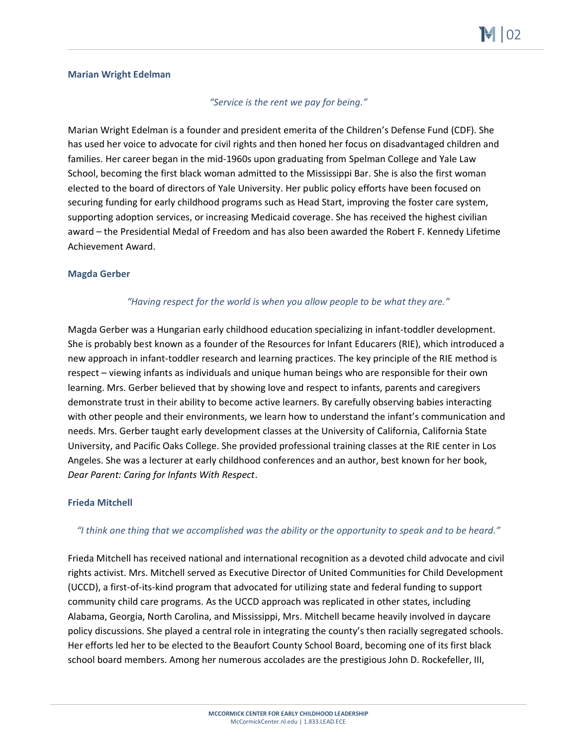# **Marian Wright Edelman**

# *"Service is the rent we pay for being."*

Marian Wright Edelman is a founder and president emerita of the Children's Defense Fund (CDF). She has used her voice to advocate for civil rights and then honed her focus on disadvantaged children and families. Her career began in the mid-1960s upon graduating from Spelman College and Yale Law School, becoming the first black woman admitted to the Mississippi Bar. She is also the first woman elected to the board of directors of Yale University. Her public policy efforts have been focused on securing funding for early childhood programs such as Head Start, improving the foster care system, supporting adoption services, or increasing Medicaid coverage. She has received the highest civilian award – the Presidential Medal of Freedom and has also been awarded the Robert F. Kennedy Lifetime Achievement Award.

#### **Magda Gerber**

# *"Having respect for the world is when you allow people to be what they are."*

Magda Gerber was a Hungarian early childhood education specializing in infant-toddler development. She is probably best known as a founder of the Resources for Infant Educarers (RIE), which introduced a new approach in infant-toddler research and learning practices. The key principle of the RIE method is respect – viewing infants as individuals and unique human beings who are responsible for their own learning. Mrs. Gerber believed that by showing love and respect to infants, parents and caregivers demonstrate trust in their ability to become active learners. By carefully observing babies interacting with other people and their environments, we learn how to understand the infant's communication and needs. Mrs. Gerber taught early development classes at the University of California, California State University, and Pacific Oaks College. She provided professional training classes at the RIE center in Los Angeles. She was a lecturer at early childhood conferences and an author, best known for her book, *Dear Parent: Caring for Infants With Respect*.

# **Frieda Mitchell**

# *"I think one thing that we accomplished was the ability or the opportunity to speak and to be heard."*

Frieda Mitchell has received national and international recognition as a devoted child advocate and civil rights activist. Mrs. Mitchell served as Executive Director of United Communities for Child Development (UCCD), a first-of-its-kind program that advocated for utilizing state and federal funding to support community child care programs. As the UCCD approach was replicated in other states, including Alabama, Georgia, North Carolina, and Mississippi, Mrs. Mitchell became heavily involved in daycare policy discussions. She played a central role in integrating the county's then racially segregated schools. Her efforts led her to be elected to the Beaufort County School Board, becoming one of its first black school board members. Among her numerous accolades are the prestigious John D. Rockefeller, III,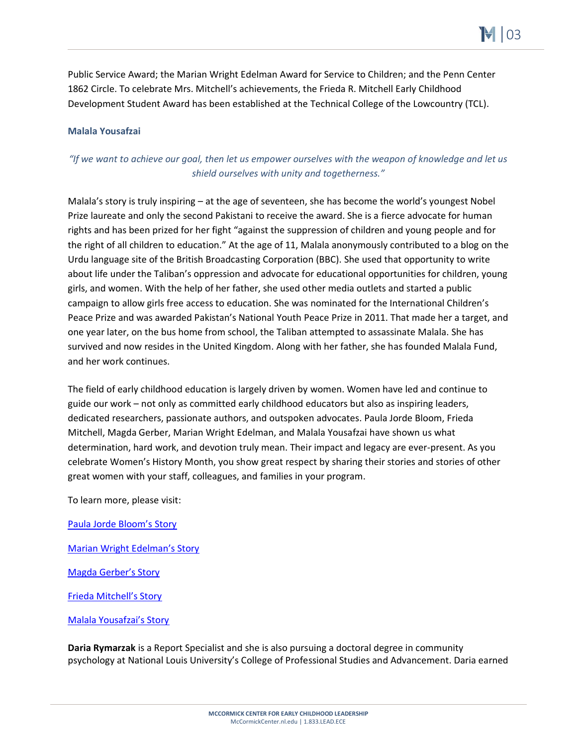Public Service Award; the Marian Wright Edelman Award for Service to Children; and the Penn Center 1862 Circle. To celebrate Mrs. Mitchell's achievements, the Frieda R. Mitchell Early Childhood Development Student Award has been established at the Technical College of the Lowcountry (TCL).

# **Malala Yousafzai**

# *"If we want to achieve our goal, then let us empower ourselves with the weapon of knowledge and let us shield ourselves with unity and togetherness."*

Malala's story is truly inspiring – at the age of seventeen, she has become the world's youngest Nobel Prize laureate and only the second Pakistani to receive the award. She is a fierce advocate for human rights and has been prized for her fight "against the suppression of children and young people and for the right of all children to education." At the age of 11, Malala anonymously contributed to a blog on the Urdu language site of the British Broadcasting Corporation (BBC). She used that opportunity to write about life under the Taliban's oppression and advocate for educational opportunities for children, young girls, and women. With the help of her father, she used other media outlets and started a public campaign to allow girls free access to education. She was nominated for the International Children's Peace Prize and was awarded Pakistan's National Youth Peace Prize in 2011. That made her a target, and one year later, on the bus home from school, the Taliban attempted to assassinate Malala. She has survived and now resides in the United Kingdom. Along with her father, she has founded Malala Fund, and her work continues.

The field of early childhood education is largely driven by women. Women have led and continue to guide our work – not only as committed early childhood educators but also as inspiring leaders, dedicated researchers, passionate authors, and outspoken advocates. Paula Jorde Bloom, Frieda Mitchell, Magda Gerber, Marian Wright Edelman, and Malala Yousafzai have shown us what determination, hard work, and devotion truly mean. Their impact and legacy are ever-present. As you celebrate Women's History Month, you show great respect by sharing their stories and stories of other great women with your staff, colleagues, and families in your program.

To learn more, please visit:

[Paula Jorde Bloom's Story](https://mccormickcenter.nl.edu/about/history/)

[Marian Wright Edelman's Story](https://www.childrensdefense.org/staff/marian-wright-edelman/)

[Magda Gerber's Story](https://rie.org/about/our-founder/)

[Frieda Mitchell's Story](https://scafricanamerican.com/honorees/frieda-mitchell/)

[Malala Yousafzai's Story](https://malala.org/malalas-story)

**Daria Rymarzak** is a Report Specialist and she is also pursuing a doctoral degree in community psychology at National Louis University's College of Professional Studies and Advancement. Daria earned